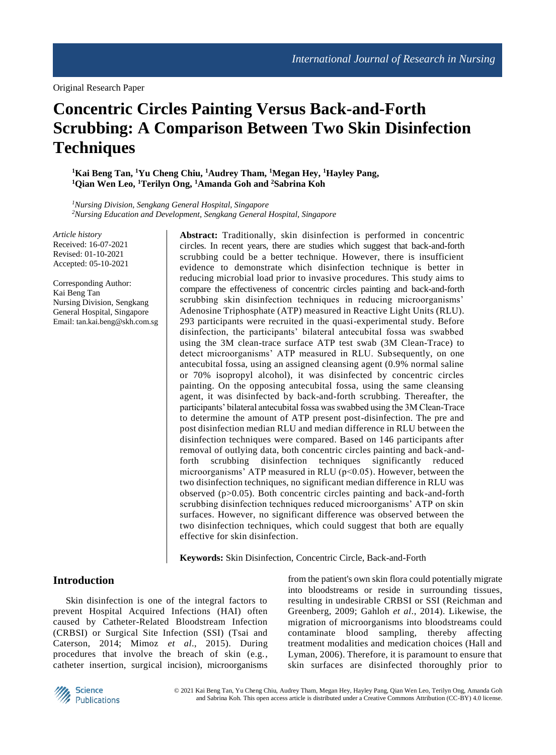# **Concentric Circles Painting Versus Back-and-Forth Scrubbing: A Comparison Between Two Skin Disinfection Techniques**

**<sup>1</sup>Kai Beng Tan, <sup>1</sup>Yu Cheng Chiu, <sup>1</sup>Audrey Tham, <sup>1</sup>Megan Hey, <sup>1</sup>Hayley Pang, <sup>1</sup>Qian Wen Leo, <sup>1</sup>Terilyn Ong, <sup>1</sup>Amanda Goh and <sup>2</sup>Sabrina Koh**

*<sup>1</sup>Nursing Division, Sengkang General Hospital, Singapore <sup>2</sup>Nursing Education and Development, Sengkang General Hospital, Singapore*

*Article history* Received: 16-07-2021 Revised: 01-10-2021 Accepted: 05-10-2021

Corresponding Author: Kai Beng Tan Nursing Division, Sengkang General Hospital, Singapore Email: tan.kai.beng@skh.com.sg **Abstract:** Traditionally, skin disinfection is performed in concentric circles. In recent years, there are studies which suggest that back-and-forth scrubbing could be a better technique. However, there is insufficient evidence to demonstrate which disinfection technique is better in reducing microbial load prior to invasive procedures. This study aims to compare the effectiveness of concentric circles painting and back-and-forth scrubbing skin disinfection techniques in reducing microorganisms' Adenosine Triphosphate (ATP) measured in Reactive Light Units (RLU). 293 participants were recruited in the quasi-experimental study. Before disinfection, the participants' bilateral antecubital fossa was swabbed using the 3M clean-trace surface ATP test swab (3M Clean-Trace) to detect microorganisms' ATP measured in RLU. Subsequently, on one antecubital fossa, using an assigned cleansing agent (0.9% normal saline or 70% isopropyl alcohol), it was disinfected by concentric circles painting. On the opposing antecubital fossa, using the same cleansing agent, it was disinfected by back-and-forth scrubbing. Thereafter, the participants' bilateral antecubital fossa was swabbed using the 3M Clean-Trace to determine the amount of ATP present post-disinfection. The pre and post disinfection median RLU and median difference in RLU between the disinfection techniques were compared. Based on 146 participants after removal of outlying data, both concentric circles painting and back-andforth scrubbing disinfection techniques significantly reduced microorganisms' ATP measured in RLU ( $p$ <0.05). However, between the two disinfection techniques, no significant median difference in RLU was observed (p>0.05). Both concentric circles painting and back-and-forth scrubbing disinfection techniques reduced microorganisms' ATP on skin surfaces. However, no significant difference was observed between the two disinfection techniques, which could suggest that both are equally effective for skin disinfection.

**Keywords:** Skin Disinfection, Concentric Circle, Back-and-Forth

# **Introduction**

Skin disinfection is one of the integral factors to prevent Hospital Acquired Infections (HAI) often caused by Catheter-Related Bloodstream Infection (CRBSI) or Surgical Site Infection (SSI) (Tsai and Caterson, 2014; Mimoz *et al*., 2015). During procedures that involve the breach of skin (e.g., catheter insertion, surgical incision), microorganisms

from the patient's own skin flora could potentially migrate into bloodstreams or reside in surrounding tissues, resulting in undesirable CRBSI or SSI (Reichman and Greenberg, 2009; Gahloh *et al*., 2014). Likewise, the migration of microorganisms into bloodstreams could contaminate blood sampling, thereby affecting treatment modalities and medication choices (Hall and Lyman, 2006). Therefore, it is paramount to ensure that skin surfaces are disinfected thoroughly prior to

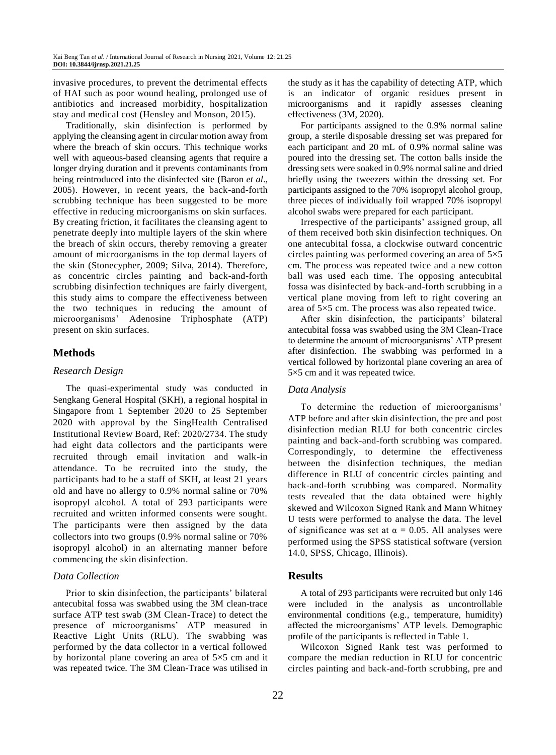invasive procedures, to prevent the detrimental effects of HAI such as poor wound healing, prolonged use of antibiotics and increased morbidity, hospitalization stay and medical cost (Hensley and Monson, 2015).

Traditionally, skin disinfection is performed by applying the cleansing agent in circular motion away from where the breach of skin occurs. This technique works well with aqueous-based cleansing agents that require a longer drying duration and it prevents contaminants from being reintroduced into the disinfected site (Baron *et al*., 2005). However, in recent years, the back-and-forth scrubbing technique has been suggested to be more effective in reducing microorganisms on skin surfaces. By creating friction, it facilitates the cleansing agent to penetrate deeply into multiple layers of the skin where the breach of skin occurs, thereby removing a greater amount of microorganisms in the top dermal layers of the skin (Stonecypher, 2009; Silva, 2014). Therefore, as concentric circles painting and back-and-forth scrubbing disinfection techniques are fairly divergent, this study aims to compare the effectiveness between the two techniques in reducing the amount of microorganisms' Adenosine Triphosphate (ATP) present on skin surfaces.

# **Methods**

#### *Research Design*

The quasi-experimental study was conducted in Sengkang General Hospital (SKH), a regional hospital in Singapore from 1 September 2020 to 25 September 2020 with approval by the SingHealth Centralised Institutional Review Board, Ref: 2020/2734. The study had eight data collectors and the participants were recruited through email invitation and walk-in attendance. To be recruited into the study, the participants had to be a staff of SKH, at least 21 years old and have no allergy to 0.9% normal saline or 70% isopropyl alcohol. A total of 293 participants were recruited and written informed consents were sought. The participants were then assigned by the data collectors into two groups (0.9% normal saline or 70% isopropyl alcohol) in an alternating manner before commencing the skin disinfection.

# *Data Collection*

Prior to skin disinfection, the participants' bilateral antecubital fossa was swabbed using the 3M clean-trace surface ATP test swab (3M Clean-Trace) to detect the presence of microorganisms' ATP measured in Reactive Light Units (RLU). The swabbing was performed by the data collector in a vertical followed by horizontal plane covering an area of 5×5 cm and it was repeated twice. The 3M Clean-Trace was utilised in the study as it has the capability of detecting ATP, which is an indicator of organic residues present in microorganisms and it rapidly assesses cleaning effectiveness (3M, 2020).

For participants assigned to the 0.9% normal saline group, a sterile disposable dressing set was prepared for each participant and 20 mL of 0.9% normal saline was poured into the dressing set. The cotton balls inside the dressing sets were soaked in 0.9% normal saline and dried briefly using the tweezers within the dressing set. For participants assigned to the 70% isopropyl alcohol group, three pieces of individually foil wrapped 70% isopropyl alcohol swabs were prepared for each participant.

Irrespective of the participants' assigned group, all of them received both skin disinfection techniques. On one antecubital fossa, a clockwise outward concentric circles painting was performed covering an area of 5×5 cm. The process was repeated twice and a new cotton ball was used each time. The opposing antecubital fossa was disinfected by back-and-forth scrubbing in a vertical plane moving from left to right covering an area of 5×5 cm. The process was also repeated twice.

After skin disinfection, the participants' bilateral antecubital fossa was swabbed using the 3M Clean-Trace to determine the amount of microorganisms' ATP present after disinfection. The swabbing was performed in a vertical followed by horizontal plane covering an area of 5×5 cm and it was repeated twice.

#### *Data Analysis*

To determine the reduction of microorganisms' ATP before and after skin disinfection, the pre and post disinfection median RLU for both concentric circles painting and back-and-forth scrubbing was compared. Correspondingly, to determine the effectiveness between the disinfection techniques, the median difference in RLU of concentric circles painting and back-and-forth scrubbing was compared. Normality tests revealed that the data obtained were highly skewed and Wilcoxon Signed Rank and Mann Whitney U tests were performed to analyse the data. The level of significance was set at  $\alpha = 0.05$ . All analyses were performed using the SPSS statistical software (version 14.0, SPSS, Chicago, Illinois).

# **Results**

A total of 293 participants were recruited but only 146 were included in the analysis as uncontrollable environmental conditions (e.g., temperature, humidity) affected the microorganisms' ATP levels. Demographic profile of the participants is reflected in Table 1.

Wilcoxon Signed Rank test was performed to compare the median reduction in RLU for concentric circles painting and back-and-forth scrubbing, pre and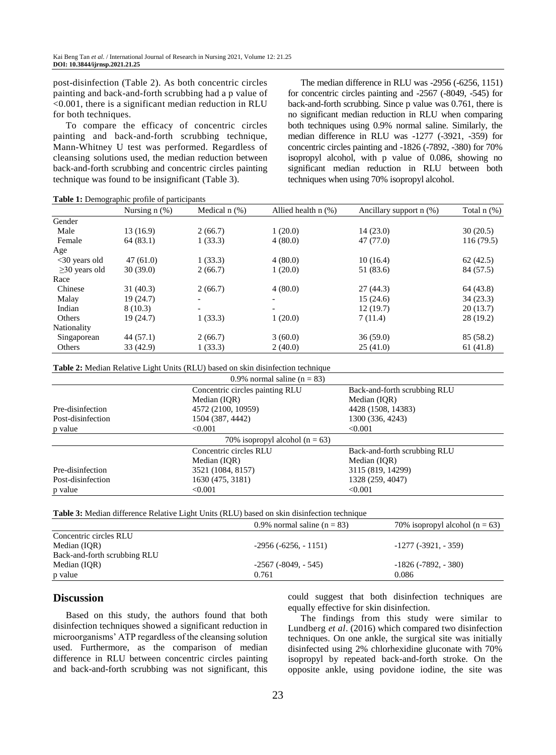post-disinfection (Table 2). As both concentric circles painting and back-and-forth scrubbing had a p value of <0.001, there is a significant median reduction in RLU for both techniques.

To compare the efficacy of concentric circles painting and back-and-forth scrubbing technique, Mann-Whitney U test was performed. Regardless of cleansing solutions used, the median reduction between back-and-forth scrubbing and concentric circles painting technique was found to be insignificant (Table 3).

The median difference in RLU was -2956 (-6256, 1151) for concentric circles painting and -2567 (-8049, -545) for back-and-forth scrubbing. Since p value was 0.761, there is no significant median reduction in RLU when comparing both techniques using 0.9% normal saline. Similarly, the median difference in RLU was -1277 (-3921, -359) for concentric circles painting and -1826 (-7892, -380) for 70% isopropyl alcohol, with p value of 0.086, showing no significant median reduction in RLU between both techniques when using 70% isopropyl alcohol.

**Table 1:** Demographic profile of participants

|                     | Nursing $n$ $(\%)$ | Medical $n$ $(\%)$       | Allied health $n$ $(\%)$ | Ancillary support $n$ (%) | Total $n$ $(\%)$ |
|---------------------|--------------------|--------------------------|--------------------------|---------------------------|------------------|
| Gender              |                    |                          |                          |                           |                  |
| Male                | 13(16.9)           | 2(66.7)                  | 1(20.0)                  | 14(23.0)                  | 30(20.5)         |
| Female              | 64(83.1)           | 1(33.3)                  | 4(80.0)                  | 47 (77.0)                 | 116(79.5)        |
| Age                 |                    |                          |                          |                           |                  |
| $<$ 30 years old    | 47(61.0)           | 1(33.3)                  | 4(80.0)                  | 10(16.4)                  | 62(42.5)         |
| $\geq$ 30 years old | 30(39.0)           | 2(66.7)                  | 1(20.0)                  | 51 (83.6)                 | 84 (57.5)        |
| Race                |                    |                          |                          |                           |                  |
| Chinese             | 31(40.3)           | 2(66.7)                  | 4(80.0)                  | 27(44.3)                  | 64 (43.8)        |
| Malay               | 19(24.7)           | $\overline{\phantom{0}}$ |                          | 15(24.6)                  | 34(23.3)         |
| Indian              | 8(10.3)            | $\overline{\phantom{a}}$ |                          | 12(19.7)                  | 20(13.7)         |
| Others              | 19(24.7)           | 1(33.3)                  | 1(20.0)                  | 7(11.4)                   | 28(19.2)         |
| Nationality         |                    |                          |                          |                           |                  |
| Singaporean         | 44(57.1)           | 2(66.7)                  | 3(60.0)                  | 36(59.0)                  | 85 (58.2)        |
| Others              | 33 (42.9)          | 1(33.3)                  | 2(40.0)                  | 25(41.0)                  | 61(41.8)         |

**Table 2:** Median Relative Light Units (RLU) based on skin disinfection technique

| 0.9% normal saline ( $n = 83$ )    |                                 |                              |  |  |  |
|------------------------------------|---------------------------------|------------------------------|--|--|--|
|                                    | Concentric circles painting RLU | Back-and-forth scrubbing RLU |  |  |  |
|                                    | Median (IOR)                    | Median (IOR)                 |  |  |  |
| Pre-disinfection                   | 4572 (2100, 10959)              | 4428 (1508, 14383)           |  |  |  |
| Post-disinfection                  | 1504 (387, 4442)                | 1300 (336, 4243)             |  |  |  |
| p value                            | < 0.001                         | < 0.001                      |  |  |  |
| 70% isopropyl alcohol ( $n = 63$ ) |                                 |                              |  |  |  |
|                                    | Concentric circles RLU          | Back-and-forth scrubbing RLU |  |  |  |
|                                    | Median (IOR)                    | Median (IQR)                 |  |  |  |
| Pre-disinfection                   | 3521 (1084, 8157)               | 3115 (819, 14299)            |  |  |  |
| Post-disinfection                  | 1630 (475, 3181)                | 1328 (259, 4047)             |  |  |  |
| p value                            | < 0.001                         | < 0.001                      |  |  |  |

**Table 3:** Median difference Relative Light Units (RLU) based on skin disinfection technique

|                              | 0.9% normal saline $(n = 83)$ | 70% isopropyl alcohol ( $n = 63$ ) |
|------------------------------|-------------------------------|------------------------------------|
| Concentric circles RLU       |                               |                                    |
| Median (IOR)                 | $-2956(-6256, -1151)$         | $-1277$ ( $-3921$ , $-359$ )       |
| Back-and-forth scrubbing RLU |                               |                                    |
| Median (IOR)                 | $-2567$ ( $-8049$ , $-545$ )  | $-1826 (-7892, -380)$              |
| p value                      | 0.761                         | 0.086                              |

#### **Discussion**

Based on this study, the authors found that both disinfection techniques showed a significant reduction in microorganisms' ATP regardless of the cleansing solution used. Furthermore, as the comparison of median difference in RLU between concentric circles painting and back-and-forth scrubbing was not significant, this could suggest that both disinfection techniques are equally effective for skin disinfection.

The findings from this study were similar to Lundberg *et al*. (2016) which compared two disinfection techniques. On one ankle, the surgical site was initially disinfected using 2% chlorhexidine gluconate with 70% isopropyl by repeated back-and-forth stroke. On the opposite ankle, using povidone iodine, the site was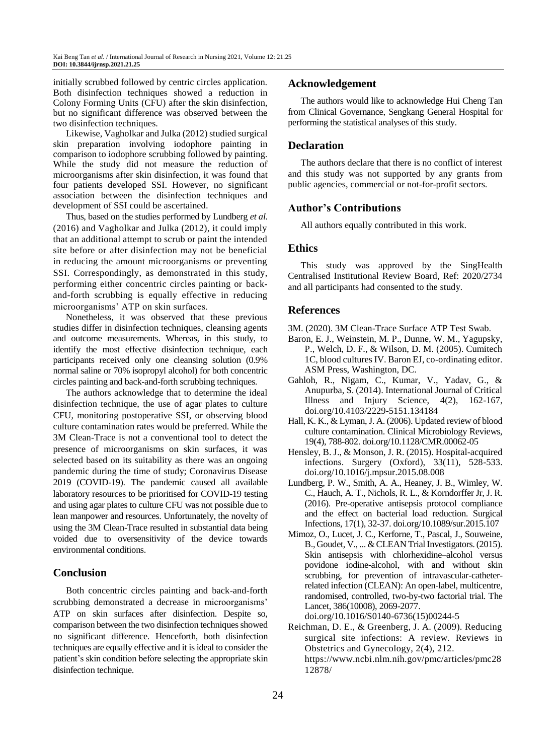initially scrubbed followed by centric circles application. Both disinfection techniques showed a reduction in Colony Forming Units (CFU) after the skin disinfection, but no significant difference was observed between the two disinfection techniques.

Likewise, Vagholkar and Julka (2012) studied surgical skin preparation involving iodophore painting in comparison to iodophore scrubbing followed by painting. While the study did not measure the reduction of microorganisms after skin disinfection, it was found that four patients developed SSI. However, no significant association between the disinfection techniques and development of SSI could be ascertained.

Thus, based on the studies performed by Lundberg *et al*. (2016) and Vagholkar and Julka (2012), it could imply that an additional attempt to scrub or paint the intended site before or after disinfection may not be beneficial in reducing the amount microorganisms or preventing SSI. Correspondingly, as demonstrated in this study, performing either concentric circles painting or backand-forth scrubbing is equally effective in reducing microorganisms' ATP on skin surfaces.

Nonetheless, it was observed that these previous studies differ in disinfection techniques, cleansing agents and outcome measurements. Whereas, in this study, to identify the most effective disinfection technique, each participants received only one cleansing solution (0.9% normal saline or 70% isopropyl alcohol) for both concentric circles painting and back-and-forth scrubbing techniques.

The authors acknowledge that to determine the ideal disinfection technique, the use of agar plates to culture CFU, monitoring postoperative SSI, or observing blood culture contamination rates would be preferred. While the 3M Clean-Trace is not a conventional tool to detect the presence of microorganisms on skin surfaces, it was selected based on its suitability as there was an ongoing pandemic during the time of study; Coronavirus Disease 2019 (COVID-19). The pandemic caused all available laboratory resources to be prioritised for COVID-19 testing and using agar plates to culture CFU was not possible due to lean manpower and resources. Unfortunately, the novelty of using the 3M Clean-Trace resulted in substantial data being voided due to oversensitivity of the device towards environmental conditions.

# **Conclusion**

Both concentric circles painting and back-and-forth scrubbing demonstrated a decrease in microorganisms' ATP on skin surfaces after disinfection. Despite so, comparison between the two disinfection techniques showed no significant difference. Henceforth, both disinfection techniques are equally effective and it is ideal to consider the patient's skin condition before selecting the appropriate skin disinfection technique.

## **Acknowledgement**

The authors would like to acknowledge Hui Cheng Tan from Clinical Governance, Sengkang General Hospital for performing the statistical analyses of this study.

# **Declaration**

The authors declare that there is no conflict of interest and this study was not supported by any grants from public agencies, commercial or not-for-profit sectors.

### **Author's Contributions**

All authors equally contributed in this work.

# **Ethics**

This study was approved by the SingHealth Centralised Institutional Review Board, Ref: 2020/2734 and all participants had consented to the study.

# **References**

3M. (2020). 3M Clean-Trace Surface ATP Test Swab.

- Baron, E. J., Weinstein, M. P., Dunne, W. M., Yagupsky, P., Welch, D. F., & Wilson, D. M. (2005). Cumitech 1C, blood cultures IV. Baron EJ, co-ordinating editor. ASM Press, Washington, DC.
- Gahloh, R., Nigam, C., Kumar, V., Yadav, G., & Anupurba, S. (2014). International Journal of Critical Illness and Injury Science, 4(2), 162-167, doi.org/10.4103/2229-5151.134184
- Hall, K. K., & Lyman, J. A. (2006). Updated review of blood culture contamination. Clinical Microbiology Reviews, 19(4), 788-802. doi.org/10.1128/CMR.00062-05
- Hensley, B. J., & Monson, J. R. (2015). Hospital-acquired infections. Surgery (Oxford), 33(11), 528-533. doi.org/10.1016/j.mpsur.2015.08.008
- Lundberg, P. W., Smith, A. A., Heaney, J. B., Wimley, W. C., Hauch, A. T., Nichols, R. L., & Korndorffer Jr, J. R. (2016). Pre-operative antisepsis protocol compliance and the effect on bacterial load reduction. Surgical Infections, 17(1), 32-37. doi.org/10.1089/sur.2015.107
- Mimoz, O., Lucet, J. C., Kerforne, T., Pascal, J., Souweine, B., Goudet, V., ... & CLEAN Trial Investigators. (2015). Skin antisepsis with chlorhexidine–alcohol versus povidone iodine-alcohol, with and without skin scrubbing, for prevention of intravascular-catheterrelated infection (CLEAN): An open-label, multicentre, randomised, controlled, two-by-two factorial trial. The Lancet, 386(10008), 2069-2077.

doi.org/10.1016/S0140-6736(15)00244-5

Reichman, D. E., & Greenberg, J. A. (2009). Reducing surgical site infections: A review. Reviews in Obstetrics and Gynecology, 2(4), 212. https://www.ncbi.nlm.nih.gov/pmc/articles/pmc28 12878/